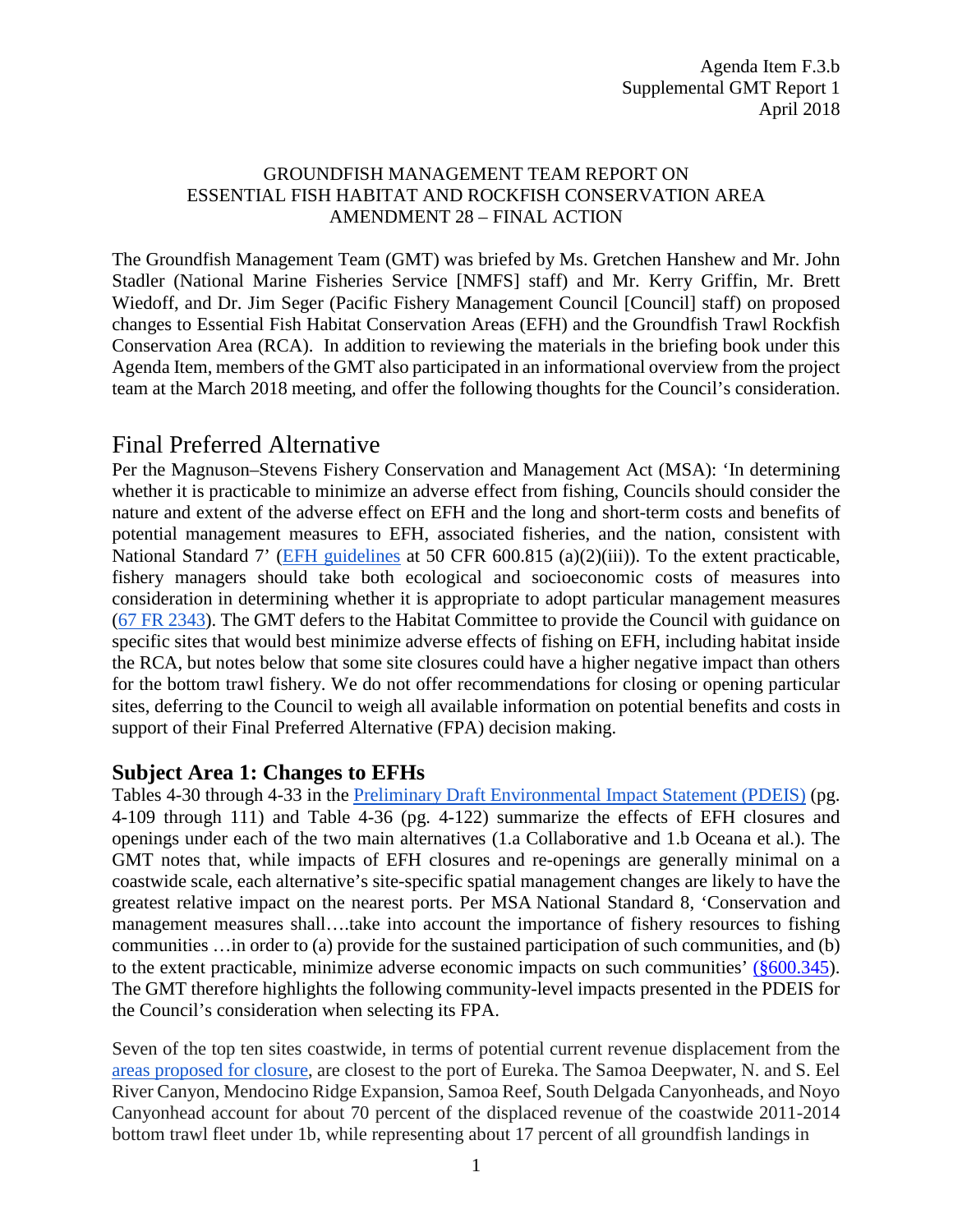#### GROUNDFISH MANAGEMENT TEAM REPORT ON ESSENTIAL FISH HABITAT AND ROCKFISH CONSERVATION AREA AMENDMENT 28 – FINAL ACTION

The Groundfish Management Team (GMT) was briefed by Ms. Gretchen Hanshew and Mr. John Stadler (National Marine Fisheries Service [NMFS] staff) and Mr. Kerry Griffin, Mr. Brett Wiedoff, and Dr. Jim Seger (Pacific Fishery Management Council [Council] staff) on proposed changes to Essential Fish Habitat Conservation Areas (EFH) and the Groundfish Trawl Rockfish Conservation Area (RCA). In addition to reviewing the materials in the briefing book under this Agenda Item, members of the GMT also participated in an informational overview from the project team at the March 2018 meeting, and offer the following thoughts for the Council's consideration.

## Final Preferred Alternative

Per the Magnuson–Stevens Fishery Conservation and Management Act (MSA): 'In determining whether it is practicable to minimize an adverse effect from fishing, Councils should consider the nature and extent of the adverse effect on EFH and the long and short-term costs and benefits of potential management measures to EFH, associated fisheries, and the nation, consistent with National Standard 7' [\(EFH guidelines](https://www.ecfr.gov/cgi-bin/text-idx?SID=95a617a5a5e4d55f0a65fedcd6ad2baf&mc=true&node=se50.12.600_1815&rgn=div8) at 50 CFR 600.815 (a)(2)(iii)). To the extent practicable, fishery managers should take both ecological and socioeconomic costs of measures into consideration in determining whether it is appropriate to adopt particular management measures [\(67 FR 2343\)](https://www.federalregister.gov/documents/2002/01/17/02-885/magnuson-stevens-act-provisions-essential-fish-habitat-efh). The GMT defers to the Habitat Committee to provide the Council with guidance on specific sites that would best minimize adverse effects of fishing on EFH, including habitat inside the RCA, but notes below that some site closures could have a higher negative impact than others for the bottom trawl fishery. We do not offer recommendations for closing or opening particular sites, deferring to the Council to weigh all available information on potential benefits and costs in support of their Final Preferred Alternative (FPA) decision making.

### **Subject Area 1: Changes to EFHs**

Tables 4-30 through 4-33 in the [Preliminary Draft Environmental Impact Statement \(PDEIS\)](https://www.pcouncil.org/wp-content/uploads/2018/03/F3a_Project_Team_Report1_Apr2018BB.pdf) (pg. 4-109 through 111) and Table 4-36 (pg. 4-122) summarize the effects of EFH closures and openings under each of the two main alternatives (1.a Collaborative and 1.b Oceana et al.). The GMT notes that, while impacts of EFH closures and re-openings are generally minimal on a coastwide scale, each alternative's site-specific spatial management changes are likely to have the greatest relative impact on the nearest ports. Per MSA National Standard 8, 'Conservation and management measures shall….take into account the importance of fishery resources to fishing communities …in order to (a) provide for the sustained participation of such communities, and (b) to the extent practicable, minimize adverse economic impacts on such communities' [\(§600.345\)](https://www.ecfr.gov/cgi-bin/retrieveECFR?gp=&SID=6b0acea089174af8594db02314f26914&mc=true&r=SECTION&n=se50.12.600_1345). The GMT therefore highlights the following community-level impacts presented in the PDEIS for the Council's consideration when selecting its FPA.

Seven of the top ten sites coastwide, in terms of potential current revenue displacement from the [areas proposed for closure,](http://www.soundgis.com/efh/efh2018-metrics/) are closest to the port of Eureka. The Samoa Deepwater, N. and S. Eel River Canyon, Mendocino Ridge Expansion, Samoa Reef, South Delgada Canyonheads, and Noyo Canyonhead account for about 70 percent of the displaced revenue of the coastwide 2011-2014 bottom trawl fleet under 1b, while representing about 17 percent of all groundfish landings in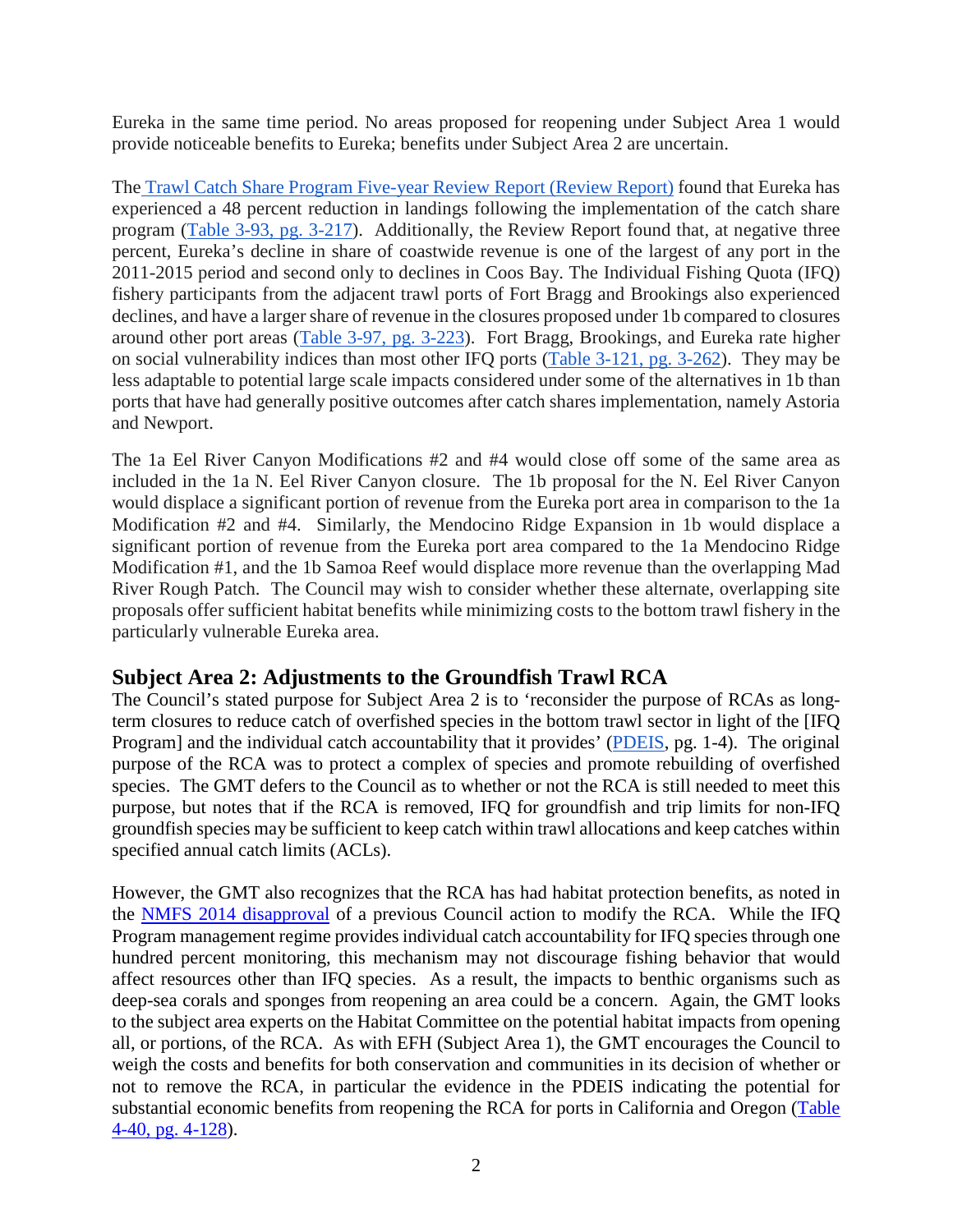Eureka in the same time period. No areas proposed for reopening under Subject Area 1 would provide noticeable benefits to Eureka; benefits under Subject Area 2 are uncertain.

The [Trawl Catch Share Program Five-year Review Report](http://www.pcouncil.org/wp-content/uploads/2017/08/5_Year_Review_August_Draft_for_public_review.pdf) (Review Report) found that Eureka has experienced a 48 percent reduction in landings following the implementation of the catch share program [\(Table 3-93, pg. 3-217\)](http://www.pcouncil.org/wp-content/uploads/2017/08/5_Year_Review_August_Draft_for_public_review.pdf#page=273). Additionally, the Review Report found that, at negative three percent, Eureka's decline in share of coastwide revenue is one of the largest of any port in the 2011-2015 period and second only to declines in Coos Bay. The Individual Fishing Quota (IFQ) fishery participants from the adjacent trawl ports of Fort Bragg and Brookings also experienced declines, and have a larger share of revenue in the closures proposed under 1b compared to closures around other port areas [\(Table 3-97, pg. 3-223\)](http://www.pcouncil.org/wp-content/uploads/2017/08/5_Year_Review_August_Draft_for_public_review.pdf#page=279). Fort Bragg, Brookings, and Eureka rate higher on social vulnerability indices than most other IFQ ports [\(Table 3-121, pg. 3-262\)](http://www.pcouncil.org/wp-content/uploads/2017/08/5_Year_Review_August_Draft_for_public_review.pdf#page=318). They may be less adaptable to potential large scale impacts considered under some of the alternatives in 1b than ports that have had generally positive outcomes after catch shares implementation, namely Astoria and Newport.

The 1a Eel River Canyon Modifications #2 and #4 would close off some of the same area as included in the 1a N. Eel River Canyon closure. The 1b proposal for the N. Eel River Canyon would displace a significant portion of revenue from the Eureka port area in comparison to the 1a Modification #2 and #4. Similarly, the Mendocino Ridge Expansion in 1b would displace a significant portion of revenue from the Eureka port area compared to the 1a Mendocino Ridge Modification #1, and the 1b Samoa Reef would displace more revenue than the overlapping Mad River Rough Patch. The Council may wish to consider whether these alternate, overlapping site proposals offer sufficient habitat benefits while minimizing costs to the bottom trawl fishery in the particularly vulnerable Eureka area.

### **Subject Area 2: Adjustments to the Groundfish Trawl RCA**

The Council's stated purpose for Subject Area 2 is to 'reconsider the purpose of RCAs as longterm closures to reduce catch of overfished species in the bottom trawl sector in light of the [IFQ Program] and the individual catch accountability that it provides' [\(PDEIS,](https://www.pcouncil.org/wp-content/uploads/2018/03/F3a_Project_Team_Report1_Apr2018BB.pdf#page=18) pg. 1-4). The original purpose of the RCA was to protect a complex of species and promote rebuilding of overfished species. The GMT defers to the Council as to whether or not the RCA is still needed to meet this purpose, but notes that if the RCA is removed, IFQ for groundfish and trip limits for non-IFQ groundfish species may be sufficient to keep catch within trawl allocations and keep catches within specified annual catch limits (ACLs).

However, the GMT also recognizes that the RCA has had habitat protection benefits, as noted in the [NMFS 2014 disapproval](http://www.pcouncil.org/wp-content/uploads/F4a_ATT1_NMFS_Ltr_JUNE2014BB.pdf) of a previous Council action to modify the RCA. While the IFQ Program management regime provides individual catch accountability for IFQ species through one hundred percent monitoring, this mechanism may not discourage fishing behavior that would affect resources other than IFQ species. As a result, the impacts to benthic organisms such as deep-sea corals and sponges from reopening an area could be a concern. Again, the GMT looks to the subject area experts on the Habitat Committee on the potential habitat impacts from opening all, or portions, of the RCA. As with EFH (Subject Area 1), the GMT encourages the Council to weigh the costs and benefits for both conservation and communities in its decision of whether or not to remove the RCA, in particular the evidence in the PDEIS indicating the potential for substantial economic benefits from reopening the RCA for ports in California and Oregon [\(Table](https://www.pcouncil.org/wp-content/uploads/2018/03/F3a_Project_Team_Report1_Apr2018BB.pdf#page=184)  [4-40, pg. 4-128\)](https://www.pcouncil.org/wp-content/uploads/2018/03/F3a_Project_Team_Report1_Apr2018BB.pdf#page=184).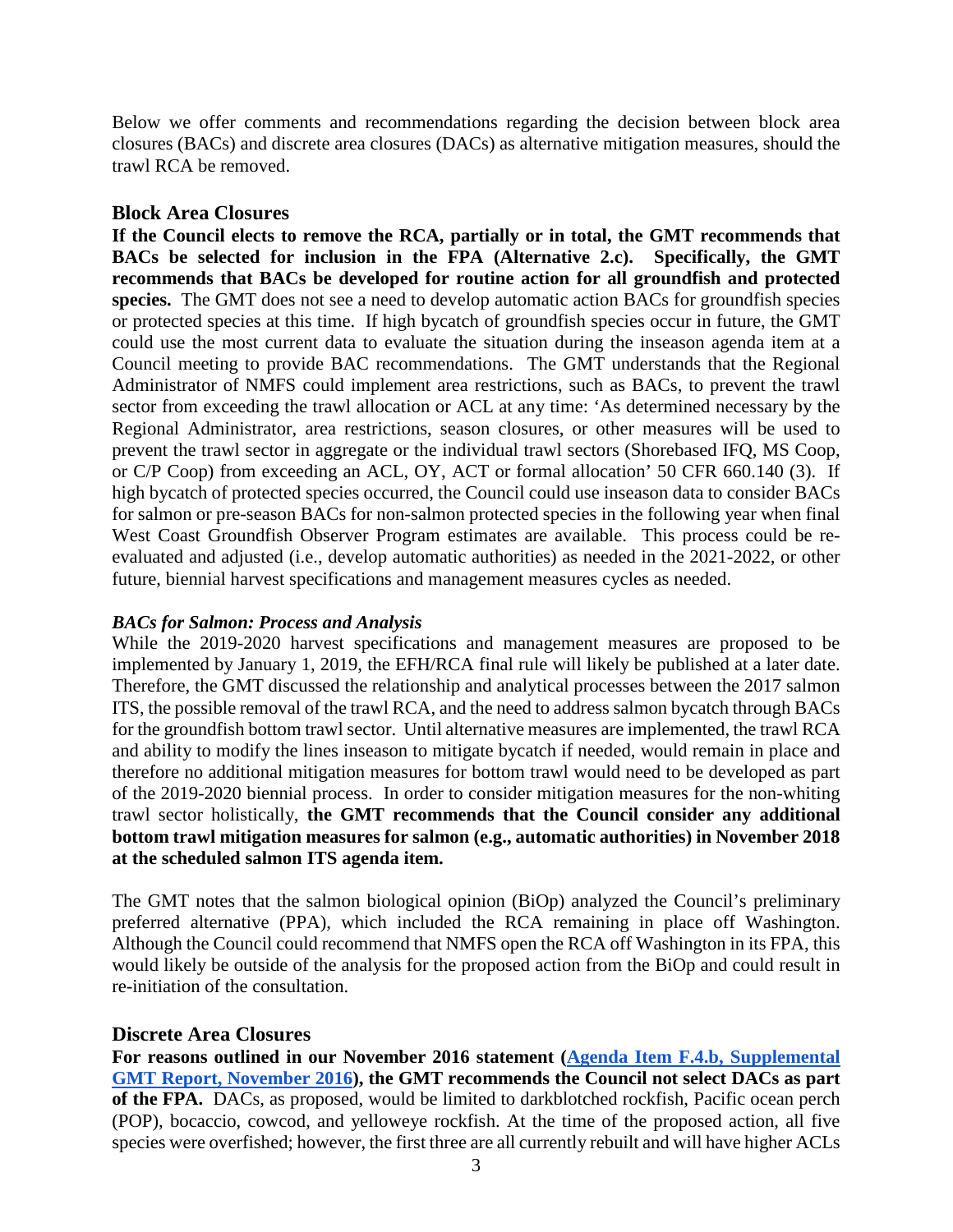Below we offer comments and recommendations regarding the decision between block area closures (BACs) and discrete area closures (DACs) as alternative mitigation measures, should the trawl RCA be removed.

#### **Block Area Closures**

**If the Council elects to remove the RCA, partially or in total, the GMT recommends that BACs be selected for inclusion in the FPA (Alternative 2.c). Specifically, the GMT recommends that BACs be developed for routine action for all groundfish and protected species.** The GMT does not see a need to develop automatic action BACs for groundfish species or protected species at this time. If high bycatch of groundfish species occur in future, the GMT could use the most current data to evaluate the situation during the inseason agenda item at a Council meeting to provide BAC recommendations. The GMT understands that the Regional Administrator of NMFS could implement area restrictions, such as BACs, to prevent the trawl sector from exceeding the trawl allocation or ACL at any time: 'As determined necessary by the Regional Administrator, area restrictions, season closures, or other measures will be used to prevent the trawl sector in aggregate or the individual trawl sectors (Shorebased IFQ, MS Coop, or C/P Coop) from exceeding an ACL, OY, ACT or formal allocation' 50 CFR 660.140 (3). If high bycatch of protected species occurred, the Council could use inseason data to consider BACs for salmon or pre-season BACs for non-salmon protected species in the following year when final West Coast Groundfish Observer Program estimates are available. This process could be reevaluated and adjusted (i.e., develop automatic authorities) as needed in the 2021-2022, or other future, biennial harvest specifications and management measures cycles as needed.

#### *BACs for Salmon: Process and Analysis*

While the 2019-2020 harvest specifications and management measures are proposed to be implemented by January 1, 2019, the EFH/RCA final rule will likely be published at a later date. Therefore, the GMT discussed the relationship and analytical processes between the 2017 salmon ITS, the possible removal of the trawl RCA, and the need to address salmon bycatch through BACs for the groundfish bottom trawl sector. Until alternative measures are implemented, the trawl RCA and ability to modify the lines inseason to mitigate bycatch if needed, would remain in place and therefore no additional mitigation measures for bottom trawl would need to be developed as part of the 2019-2020 biennial process. In order to consider mitigation measures for the non-whiting trawl sector holistically, **the GMT recommends that the Council consider any additional bottom trawl mitigation measures for salmon (e.g., automatic authorities) in November 2018 at the scheduled salmon ITS agenda item.**

The GMT notes that the salmon biological opinion (BiOp) analyzed the Council's preliminary preferred alternative (PPA), which included the RCA remaining in place off Washington. Although the Council could recommend that NMFS open the RCA off Washington in its FPA, this would likely be outside of the analysis for the proposed action from the BiOp and could result in re-initiation of the consultation.

#### **Discrete Area Closures**

For reasons outlined in our November 2016 statement (Agenda Item F.4.b, Supplemental **[GMT Report, November 2016\)](http://www.pcouncil.org/wp-content/uploads/2016/11/F4b_Sup_GMT_Rpt_NOV2016BB.pdf), the GMT recommends the Council not select DACs as part of the FPA.** DACs, as proposed, would be limited to darkblotched rockfish, Pacific ocean perch (POP), bocaccio, cowcod, and yelloweye rockfish. At the time of the proposed action, all five species were overfished; however, the first three are all currently rebuilt and will have higher ACLs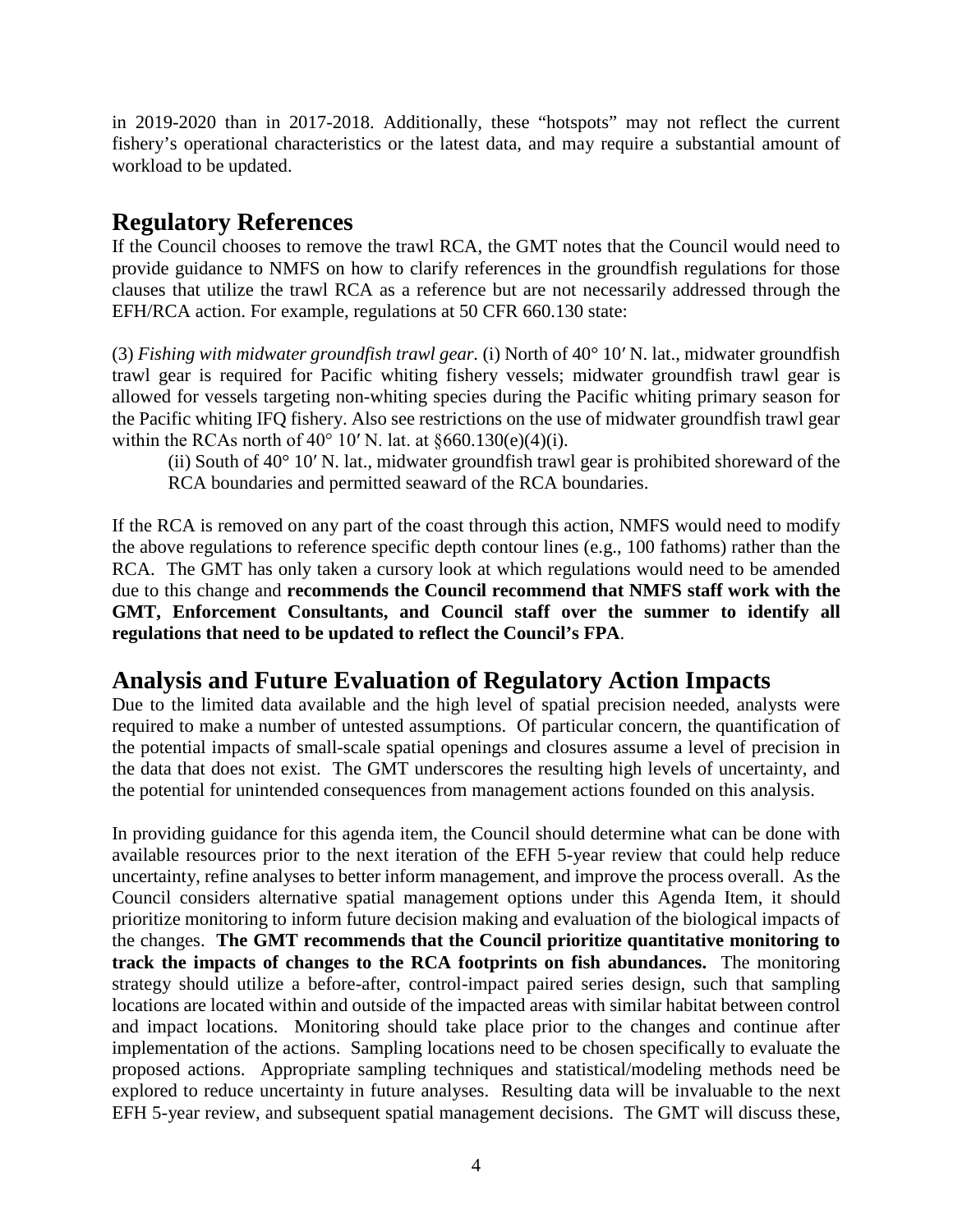in 2019-2020 than in 2017-2018. Additionally, these "hotspots" may not reflect the current fishery's operational characteristics or the latest data, and may require a substantial amount of workload to be updated.

# **Regulatory References**

If the Council chooses to remove the trawl RCA, the GMT notes that the Council would need to provide guidance to NMFS on how to clarify references in the groundfish regulations for those clauses that utilize the trawl RCA as a reference but are not necessarily addressed through the EFH/RCA action. For example, regulations at 50 CFR 660.130 state:

(3) *Fishing with midwater groundfish trawl gear.* (i) North of 40° 10′ N. lat., midwater groundfish trawl gear is required for Pacific whiting fishery vessels; midwater groundfish trawl gear is allowed for vessels targeting non-whiting species during the Pacific whiting primary season for the Pacific whiting IFQ fishery. Also see restrictions on the use of midwater groundfish trawl gear within the RCAs north of  $40^{\circ}$  10' N. lat. at §660.130(e)(4)(i).

(ii) South of 40° 10′ N. lat., midwater groundfish trawl gear is prohibited shoreward of the RCA boundaries and permitted seaward of the RCA boundaries.

If the RCA is removed on any part of the coast through this action, NMFS would need to modify the above regulations to reference specific depth contour lines (e.g., 100 fathoms) rather than the RCA. The GMT has only taken a cursory look at which regulations would need to be amended due to this change and **recommends the Council recommend that NMFS staff work with the GMT, Enforcement Consultants, and Council staff over the summer to identify all regulations that need to be updated to reflect the Council's FPA**.

# **Analysis and Future Evaluation of Regulatory Action Impacts**

Due to the limited data available and the high level of spatial precision needed, analysts were required to make a number of untested assumptions. Of particular concern, the quantification of the potential impacts of small-scale spatial openings and closures assume a level of precision in the data that does not exist. The GMT underscores the resulting high levels of uncertainty, and the potential for unintended consequences from management actions founded on this analysis.

In providing guidance for this agenda item, the Council should determine what can be done with available resources prior to the next iteration of the EFH 5-year review that could help reduce uncertainty, refine analyses to better inform management, and improve the process overall. As the Council considers alternative spatial management options under this Agenda Item, it should prioritize monitoring to inform future decision making and evaluation of the biological impacts of the changes. **The GMT recommends that the Council prioritize quantitative monitoring to track the impacts of changes to the RCA footprints on fish abundances.** The monitoring strategy should utilize a before-after, control-impact paired series design, such that sampling locations are located within and outside of the impacted areas with similar habitat between control and impact locations. Monitoring should take place prior to the changes and continue after implementation of the actions. Sampling locations need to be chosen specifically to evaluate the proposed actions. Appropriate sampling techniques and statistical/modeling methods need be explored to reduce uncertainty in future analyses. Resulting data will be invaluable to the next EFH 5-year review, and subsequent spatial management decisions. The GMT will discuss these,